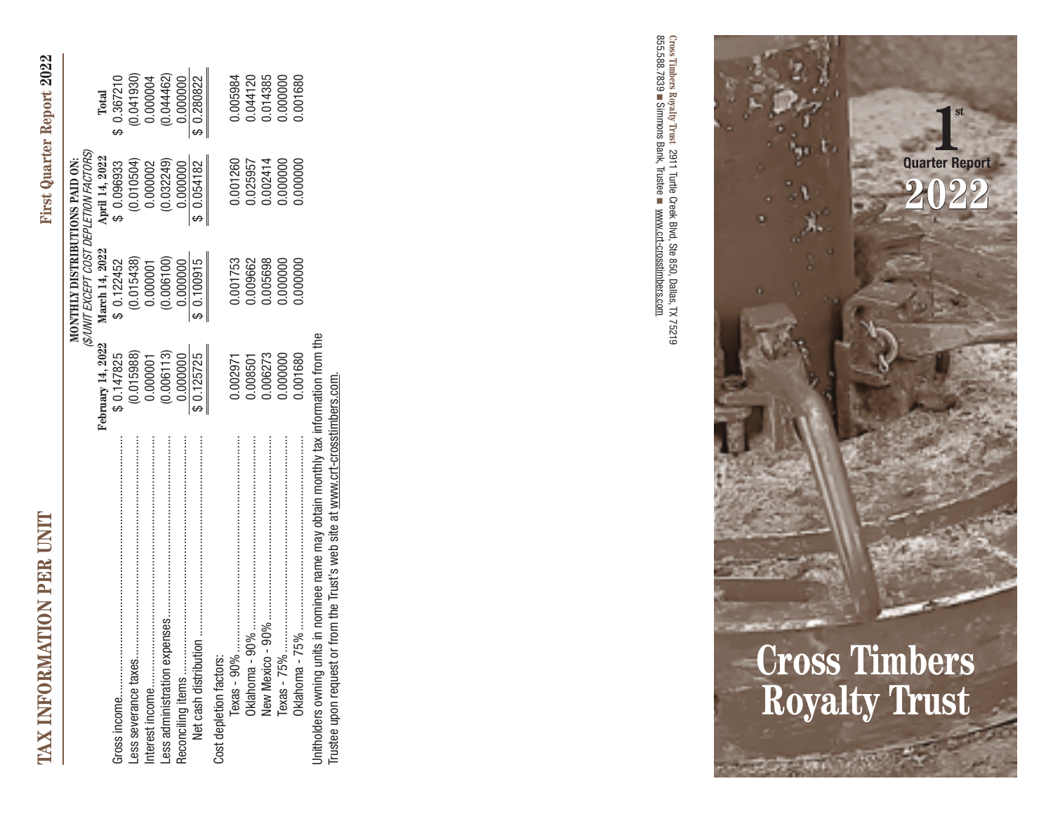| ֚֘֝<br>l                         |
|----------------------------------|
|                                  |
|                                  |
| 1                                |
| Ş<br>ł                           |
| ¢                                |
| Í                                |
| e<br>O                           |
|                                  |
| Ć                                |
|                                  |
|                                  |
| <b>PAIT</b>                      |
| l                                |
|                                  |
|                                  |
|                                  |
|                                  |
|                                  |
|                                  |
|                                  |
|                                  |
|                                  |
|                                  |
|                                  |
|                                  |
|                                  |
|                                  |
|                                  |
|                                  |
|                                  |
|                                  |
|                                  |
|                                  |
|                                  |
|                                  |
|                                  |
|                                  |
|                                  |
|                                  |
| ţ                                |
| 1                                |
|                                  |
|                                  |
| ۱                                |
|                                  |
| 1                                |
|                                  |
| 4                                |
|                                  |
|                                  |
| <b>CONTRACT PROPERTY</b><br>AT'' |
| Ξ                                |
| i<br>י<br>ו                      |
| Ľ<br>d                           |
| $\overline{\phantom{a}}$         |
| I<br>1                           |
| I                                |
| ŧ<br>ļ                           |
| X<br>I                           |
| ä<br>ł                           |
| ŧ                                |

|                                                                                      |                   | MONTHLY DISTRIBUTIONS PAID ON:          |                |             |
|--------------------------------------------------------------------------------------|-------------------|-----------------------------------------|----------------|-------------|
|                                                                                      |                   | (\$/UNIT EXCEPT COST DEPLETION FACTORS) |                |             |
|                                                                                      | February 14, 2022 | March 14, 2022                          | April 14, 2022 | Total       |
|                                                                                      | \$ 0.147825       | \$ 0.122452                             | \$ 0.096933    | \$ 0.367210 |
|                                                                                      | (0.015988)        | (0.015438)                              | (0.010504)     | (0.041930)  |
|                                                                                      | 0.000001          | 0.000001                                | 0.000002       | 0.000004    |
|                                                                                      | (0.006113)        | (0.006100)                              | (0.032249)     | (0.044462)  |
|                                                                                      | 0.000000          | 0.000000                                | 0.000000       | 0.000000    |
|                                                                                      | 0.125725          | \$0.100915                              | \$0.054182     | \$ 0.280822 |
| Cost depletion factors:                                                              |                   |                                         |                |             |
| $Texas - 90%$                                                                        | 1,002971          | 1.001753                                | 001260         | 005984      |
| Oklahoma -                                                                           | 0.008501          | 1.009662                                | 1.025957       | 0.044120    |
|                                                                                      | 0.006273          | 0.055698                                | 0.002414       | 1.014385    |
| Texas - 75% ………………………………………………………                                                    | 0000000.0         | 000000.                                 | 0000000.       | 0000000.0   |
|                                                                                      | 0.001680          | 000000.                                 | 0000000.       | 0.001680    |
| Unitholders owning units in nominee name may obtain monthly tax information from the |                   |                                         |                |             |
| or from the Trust's web site at www.crt-crosstimbers.com.<br>Trustee upon request    |                   |                                         |                |             |

■ 855.588.7839 **Cross Timbers Royalty Trust**Simmons Bank, Trustee 2911 Turtle Creek 2911 Turtle Creek Blvd, Ste 850, Dallas, TX 75219 ■ ek Blvd, Ste 850, Dallas, TX 75219<br>www.crt-crosstimbers.com www.crt-crosstimbers.com

# **Cross Timbers Royalty Trust**

**1 Quarter Report**

**2022**

**st**